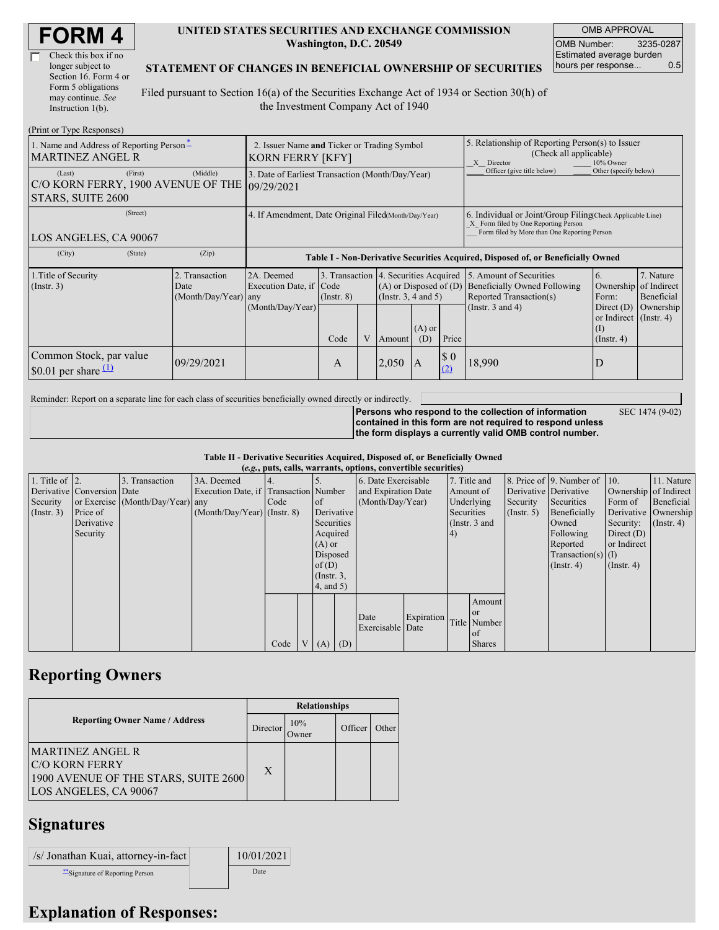| <b>FORM4</b> |  |
|--------------|--|
|--------------|--|

| Check this box if no  |
|-----------------------|
| longer subject to     |
| Section 16. Form 4 or |
| Form 5 obligations    |
| may continue. See     |
| Instruction 1(b).     |

#### **UNITED STATES SECURITIES AND EXCHANGE COMMISSION Washington, D.C. 20549**

OMB APPROVAL OMB Number: 3235-0287 Estimated average burden hours per response... 0.5

SEC 1474 (9-02)

#### **STATEMENT OF CHANGES IN BENEFICIAL OWNERSHIP OF SECURITIES**

Filed pursuant to Section 16(a) of the Securities Exchange Act of 1934 or Section 30(h) of the Investment Company Act of 1940

| (Print or Type Responses)                                                                           |                                                                        |                                                |                                                                                  |                         |              |                                                                                                                              |                                                                                                       |            |                                                                                                                                                    |                                                                                                              |                                                     |  |
|-----------------------------------------------------------------------------------------------------|------------------------------------------------------------------------|------------------------------------------------|----------------------------------------------------------------------------------|-------------------------|--------------|------------------------------------------------------------------------------------------------------------------------------|-------------------------------------------------------------------------------------------------------|------------|----------------------------------------------------------------------------------------------------------------------------------------------------|--------------------------------------------------------------------------------------------------------------|-----------------------------------------------------|--|
| 1. Name and Address of Reporting Person-<br><b>MARTINEZ ANGEL R</b>                                 | 2. Issuer Name and Ticker or Trading Symbol<br><b>KORN FERRY [KFY]</b> |                                                |                                                                                  |                         |              |                                                                                                                              | 5. Relationship of Reporting Person(s) to Issuer<br>(Check all applicable)<br>X Director<br>10% Owner |            |                                                                                                                                                    |                                                                                                              |                                                     |  |
| (Middle)<br>(First)<br>(Last)<br>C/O KORN FERRY, 1900 AVENUE OF THE 09/29/2021<br>STARS, SUITE 2600 |                                                                        |                                                | 3. Date of Earliest Transaction (Month/Day/Year)                                 |                         |              |                                                                                                                              |                                                                                                       |            | Officer (give title below)                                                                                                                         | Other (specify below)                                                                                        |                                                     |  |
| (Street)<br>LOS ANGELES, CA 90067                                                                   |                                                                        |                                                | 4. If Amendment, Date Original Filed Month/Day/Year)                             |                         |              |                                                                                                                              |                                                                                                       |            | 6. Individual or Joint/Group Filing(Check Applicable Line)<br>X Form filed by One Reporting Person<br>Form filed by More than One Reporting Person |                                                                                                              |                                                     |  |
| (City)                                                                                              | (State)                                                                | (Zip)                                          | Table I - Non-Derivative Securities Acquired, Disposed of, or Beneficially Owned |                         |              |                                                                                                                              |                                                                                                       |            |                                                                                                                                                    |                                                                                                              |                                                     |  |
| 1. Title of Security<br>(Insert. 3)                                                                 |                                                                        | 2. Transaction<br>Date<br>(Month/Day/Year) any | 2A. Deemed<br>Execution Date, if Code<br>(Month/Day/Year)                        | $($ Instr. $8)$<br>Code | $\mathbf{V}$ | 3. Transaction 4. Securities Acquired<br>$(A)$ or Disposed of $(D)$<br>(Instr. $3, 4$ and $5$ )<br>$(A)$ or<br>(D)<br>Amount |                                                                                                       | Price      | 5. Amount of Securities<br><b>Beneficially Owned Following</b><br>Reported Transaction(s)<br>(Instr. $3$ and $4$ )                                 | 6.<br>Ownership<br>Form:<br>Direct $(D)$<br>or Indirect $($ Instr. 4 $)$<br>$\rm _{(1)}$<br>$($ Instr. 4 $)$ | 7. Nature<br>of Indirect<br>Beneficial<br>Ownership |  |
| Common Stock, par value<br>\$0.01 per share $(1)$                                                   |                                                                        | 09/29/2021                                     |                                                                                  | A                       |              | 2,050                                                                                                                        | $\mathbf{A}$                                                                                          | \$0<br>(2) | 18,990                                                                                                                                             | D                                                                                                            |                                                     |  |

Reminder: Report on a separate line for each class of securities beneficially owned directly or indirectly.

**Persons who respond to the collection of information contained in this form are not required to respond unless the form displays a currently valid OMB control number.**

**Table II - Derivative Securities Acquired, Disposed of, or Beneficially Owned**

|                        | (e.g., puts, calls, warrants, options, convertible securities) |                                  |                                       |      |  |                  |  |                          |            |               |               |                       |                              |                       |                  |
|------------------------|----------------------------------------------------------------|----------------------------------|---------------------------------------|------|--|------------------|--|--------------------------|------------|---------------|---------------|-----------------------|------------------------------|-----------------------|------------------|
| 1. Title of $\vert$ 2. |                                                                | 3. Transaction                   | 3A. Deemed                            |      |  |                  |  | 6. Date Exercisable      |            |               | 7. Title and  |                       | 8. Price of 9. Number of 10. |                       | 11. Nature       |
|                        | Derivative Conversion Date                                     |                                  | Execution Date, if Transaction Number |      |  |                  |  | and Expiration Date      |            | Amount of     |               | Derivative Derivative |                              | Ownership of Indirect |                  |
| Security               |                                                                | or Exercise (Month/Day/Year) any |                                       | Code |  | of               |  | (Month/Day/Year)         |            | Underlying    |               | Security              | Securities                   | Form of               | Beneficial       |
| (Insert. 3)            | Price of                                                       |                                  | $(Month/Day/Year)$ (Instr. 8)         |      |  | Derivative       |  |                          |            | Securities    |               | $($ Instr. 5)         | Beneficially                 | Derivative Ownership  |                  |
|                        | Derivative                                                     |                                  |                                       |      |  | Securities       |  |                          |            | (Instr. 3 and |               |                       | Owned                        | Security:             | $($ Instr. 4 $)$ |
|                        | Security                                                       |                                  |                                       |      |  | Acquired         |  |                          |            | 4)            |               |                       | Following                    | Direct $(D)$          |                  |
|                        |                                                                |                                  |                                       |      |  | $(A)$ or         |  |                          |            |               |               |                       | Reported                     | or Indirect           |                  |
|                        |                                                                |                                  |                                       |      |  | Disposed         |  |                          |            |               |               |                       | $Transaction(s)$ (I)         |                       |                  |
|                        |                                                                |                                  |                                       |      |  | of(D)            |  |                          |            |               |               |                       | $($ Instr. 4 $)$             | $($ Instr. 4 $)$      |                  |
|                        |                                                                |                                  |                                       |      |  | $($ Instr. $3$ , |  |                          |            |               |               |                       |                              |                       |                  |
|                        |                                                                |                                  |                                       |      |  | 4, and 5)        |  |                          |            |               |               |                       |                              |                       |                  |
|                        |                                                                |                                  |                                       |      |  |                  |  |                          |            |               | Amount        |                       |                              |                       |                  |
|                        |                                                                |                                  |                                       |      |  |                  |  |                          | Expiration |               | <sub>or</sub> |                       |                              |                       |                  |
|                        |                                                                |                                  |                                       |      |  |                  |  | Date<br>Exercisable Date |            |               | Title Number  |                       |                              |                       |                  |
|                        |                                                                |                                  |                                       |      |  |                  |  |                          |            |               | of            |                       |                              |                       |                  |
|                        |                                                                |                                  |                                       | Code |  | $(A)$ $(D)$      |  |                          |            |               | <b>Shares</b> |                       |                              |                       |                  |

### **Reporting Owners**

|                                                                                                                   | <b>Relationships</b> |                      |         |       |  |  |  |  |
|-------------------------------------------------------------------------------------------------------------------|----------------------|----------------------|---------|-------|--|--|--|--|
| <b>Reporting Owner Name / Address</b>                                                                             | Director             | 10%<br><b>J</b> wner | Officer | Other |  |  |  |  |
| <b>MARTINEZ ANGEL R</b><br><b>C/O KORN FERRY</b><br>1900 AVENUE OF THE STARS, SUITE 2600<br>LOS ANGELES, CA 90067 | X                    |                      |         |       |  |  |  |  |

## **Signatures**

| /s/ Jonathan Kuai, attorney-in-fact | 10/01/2021 |
|-------------------------------------|------------|
| ** Signature of Reporting Person    | Date       |

# **Explanation of Responses:**